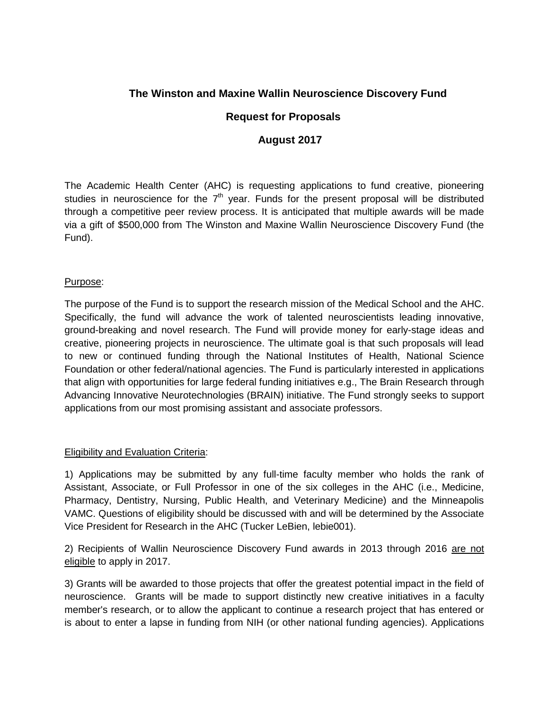# **The Winston and Maxine Wallin Neuroscience Discovery Fund**

## **Request for Proposals**

### **August 2017**

The Academic Health Center (AHC) is requesting applications to fund creative, pioneering studies in neuroscience for the  $7<sup>th</sup>$  year. Funds for the present proposal will be distributed through a competitive peer review process. It is anticipated that multiple awards will be made via a gift of \$500,000 from The Winston and Maxine Wallin Neuroscience Discovery Fund (the Fund).

#### Purpose:

The purpose of the Fund is to support the research mission of the Medical School and the AHC. Specifically, the fund will advance the work of talented neuroscientists leading innovative, ground-breaking and novel research. The Fund will provide money for early-stage ideas and creative, pioneering projects in neuroscience. The ultimate goal is that such proposals will lead to new or continued funding through the National Institutes of Health, National Science Foundation or other federal/national agencies. The Fund is particularly interested in applications that align with opportunities for large federal funding initiatives e.g., The Brain Research through Advancing Innovative Neurotechnologies (BRAIN) initiative. The Fund strongly seeks to support applications from our most promising assistant and associate professors.

#### Eligibility and Evaluation Criteria:

1) Applications may be submitted by any full-time faculty member who holds the rank of Assistant, Associate, or Full Professor in one of the six colleges in the AHC (i.e., Medicine, Pharmacy, Dentistry, Nursing, Public Health, and Veterinary Medicine) and the Minneapolis VAMC. Questions of eligibility should be discussed with and will be determined by the Associate Vice President for Research in the AHC (Tucker LeBien, lebie001).

2) Recipients of Wallin Neuroscience Discovery Fund awards in 2013 through 2016 are not eligible to apply in 2017.

3) Grants will be awarded to those projects that offer the greatest potential impact in the field of neuroscience. Grants will be made to support distinctly new creative initiatives in a faculty member's research, or to allow the applicant to continue a research project that has entered or is about to enter a lapse in funding from NIH (or other national funding agencies). Applications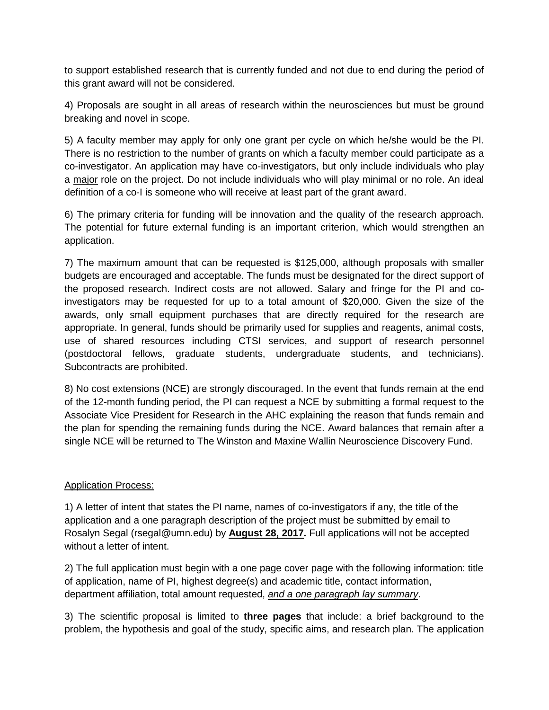to support established research that is currently funded and not due to end during the period of this grant award will not be considered.

4) Proposals are sought in all areas of research within the neurosciences but must be ground breaking and novel in scope.

5) A faculty member may apply for only one grant per cycle on which he/she would be the PI. There is no restriction to the number of grants on which a faculty member could participate as a co-investigator. An application may have co-investigators, but only include individuals who play a major role on the project. Do not include individuals who will play minimal or no role. An ideal definition of a co-I is someone who will receive at least part of the grant award.

6) The primary criteria for funding will be innovation and the quality of the research approach. The potential for future external funding is an important criterion, which would strengthen an application.

7) The maximum amount that can be requested is \$125,000, although proposals with smaller budgets are encouraged and acceptable. The funds must be designated for the direct support of the proposed research. Indirect costs are not allowed. Salary and fringe for the PI and coinvestigators may be requested for up to a total amount of \$20,000. Given the size of the awards, only small equipment purchases that are directly required for the research are appropriate. In general, funds should be primarily used for supplies and reagents, animal costs, use of shared resources including CTSI services, and support of research personnel (postdoctoral fellows, graduate students, undergraduate students, and technicians). Subcontracts are prohibited.

8) No cost extensions (NCE) are strongly discouraged. In the event that funds remain at the end of the 12-month funding period, the PI can request a NCE by submitting a formal request to the Associate Vice President for Research in the AHC explaining the reason that funds remain and the plan for spending the remaining funds during the NCE. Award balances that remain after a single NCE will be returned to The Winston and Maxine Wallin Neuroscience Discovery Fund.

## Application Process:

1) A letter of intent that states the PI name, names of co-investigators if any, the title of the application and a one paragraph description of the project must be submitted by email to Rosalyn Segal (rsegal@umn.edu) by **August 28, 2017.** Full applications will not be accepted without a letter of intent.

2) The full application must begin with a one page cover page with the following information: title of application, name of PI, highest degree(s) and academic title, contact information, department affiliation, total amount requested, *and a one paragraph lay summary*.

3) The scientific proposal is limited to **three pages** that include: a brief background to the problem, the hypothesis and goal of the study, specific aims, and research plan. The application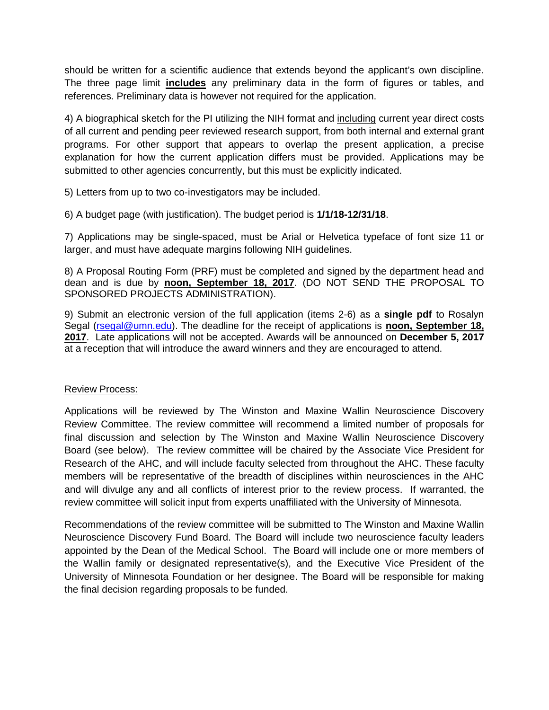should be written for a scientific audience that extends beyond the applicant's own discipline. The three page limit **includes** any preliminary data in the form of figures or tables, and references. Preliminary data is however not required for the application.

4) A biographical sketch for the PI utilizing the NIH format and including current year direct costs of all current and pending peer reviewed research support, from both internal and external grant programs. For other support that appears to overlap the present application, a precise explanation for how the current application differs must be provided. Applications may be submitted to other agencies concurrently, but this must be explicitly indicated.

5) Letters from up to two co-investigators may be included.

6) A budget page (with justification). The budget period is **1/1/18-12/31/18**.

7) Applications may be single-spaced, must be Arial or Helvetica typeface of font size 11 or larger, and must have adequate margins following NIH guidelines.

8) A Proposal Routing Form (PRF) must be completed and signed by the department head and dean and is due by **noon, September 18, 2017**. (DO NOT SEND THE PROPOSAL TO SPONSORED PROJECTS ADMINISTRATION).

9) Submit an electronic version of the full application (items 2-6) as a **single pdf** to Rosalyn Segal [\(rsegal@umn.edu\)](mailto:rsegal@umn.edu). The deadline for the receipt of applications is **noon, September 18, 2017**. Late applications will not be accepted. Awards will be announced on **December 5, 2017** at a reception that will introduce the award winners and they are encouraged to attend.

#### Review Process:

Applications will be reviewed by The Winston and Maxine Wallin Neuroscience Discovery Review Committee. The review committee will recommend a limited number of proposals for final discussion and selection by The Winston and Maxine Wallin Neuroscience Discovery Board (see below). The review committee will be chaired by the Associate Vice President for Research of the AHC, and will include faculty selected from throughout the AHC. These faculty members will be representative of the breadth of disciplines within neurosciences in the AHC and will divulge any and all conflicts of interest prior to the review process. If warranted, the review committee will solicit input from experts unaffiliated with the University of Minnesota.

Recommendations of the review committee will be submitted to The Winston and Maxine Wallin Neuroscience Discovery Fund Board. The Board will include two neuroscience faculty leaders appointed by the Dean of the Medical School. The Board will include one or more members of the Wallin family or designated representative(s), and the Executive Vice President of the University of Minnesota Foundation or her designee. The Board will be responsible for making the final decision regarding proposals to be funded.